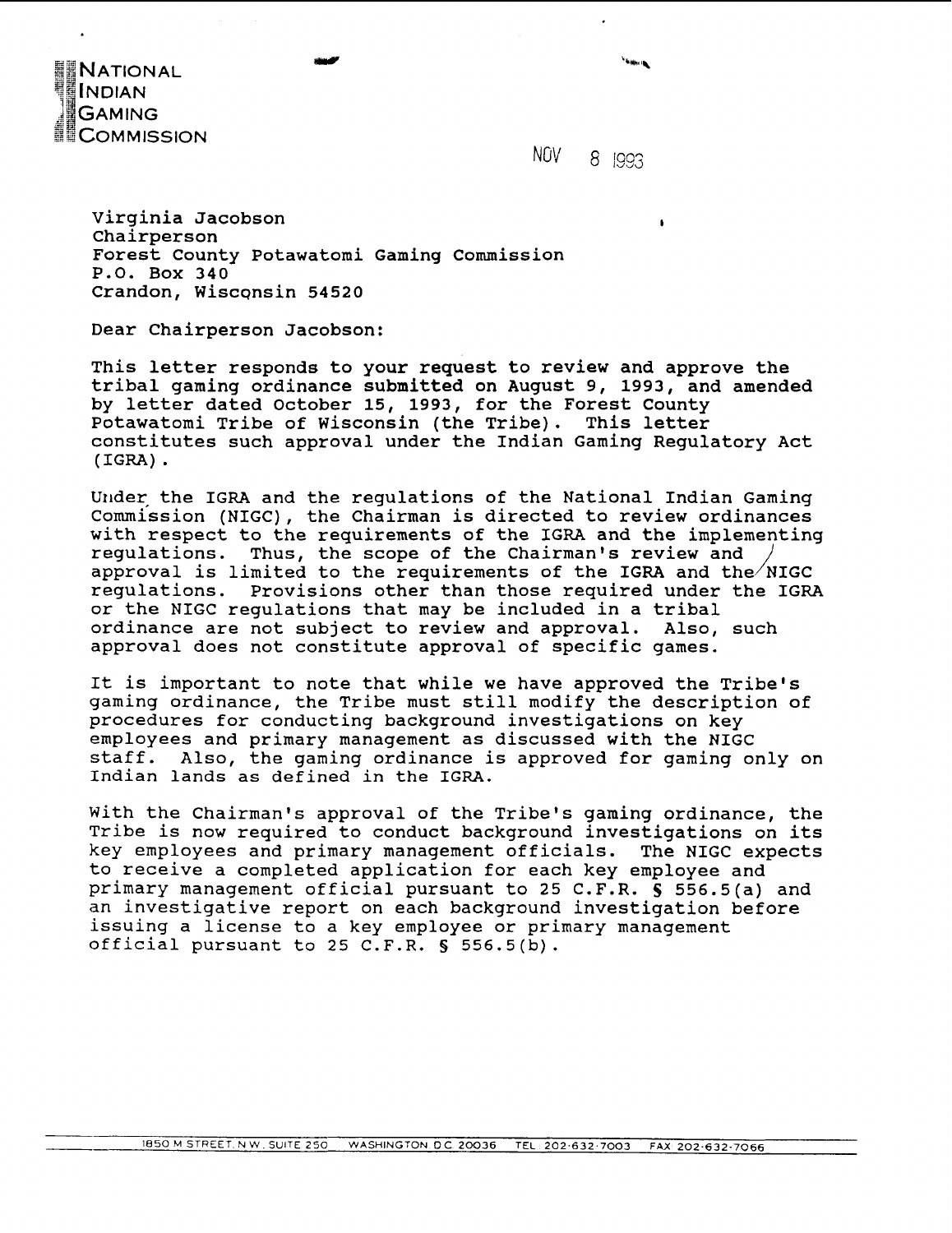

NOV 8 1993

Virginia Jacobson Chairperson Forest County Potawatomi Gaming Commission P.O. Box 340 Crandon, Wisconsin 54520

Dear Chairperson Jacobson:

This letter responds to your request to review and approve the tribal gaming ordinance submitted on August 9, 1993, and amended by letter dated October 15, 1993, for the Forest County Potawatomi Tribe of Wisconsin (the Tribe). This letter constitutes such approval under the Indian Gaming Regulatory Act (IGRA) .

Under the IGRA and the regulations of the National Indian Gaming Commission (NIGC), the Chairman is directed to review ordinances with respect to the requirements of the IGRA and the implementing regulations. Thus, the scope of the Chairman's review and approval is limited to the requirements of the IGRA and the  $/NIGC$ regulations. Provisions other than those required under the IGRA or the NIGC regulations that may be included in a tribal ordinance are not subject to review and approval. Also, such approval does not constitute approval of specific games.

It is important to note that while we have approved the Tribe's gaming ordinance, the Tribe must still modify the description of procedures for conducting background investigations on key employees and primary management as discussed with the NIGC staff. Also, the gaming ordinance is approved for gaming only on Indian lands as defined in the IGRA.

With the Chairman's approval of the Tribe's gaming ordinance, the Tribe is now required to conduct background investigations on its key employees and primary management officials. The NIGC expects to receive a completed application for each key employee and primary management official pursuant to 25 C.F.R. **S** 556.5(a) and an investigative report on each background investigation before issuing a license to a key employee or primary management official pursuant to 25 C.F.R. **5 556.5(b).**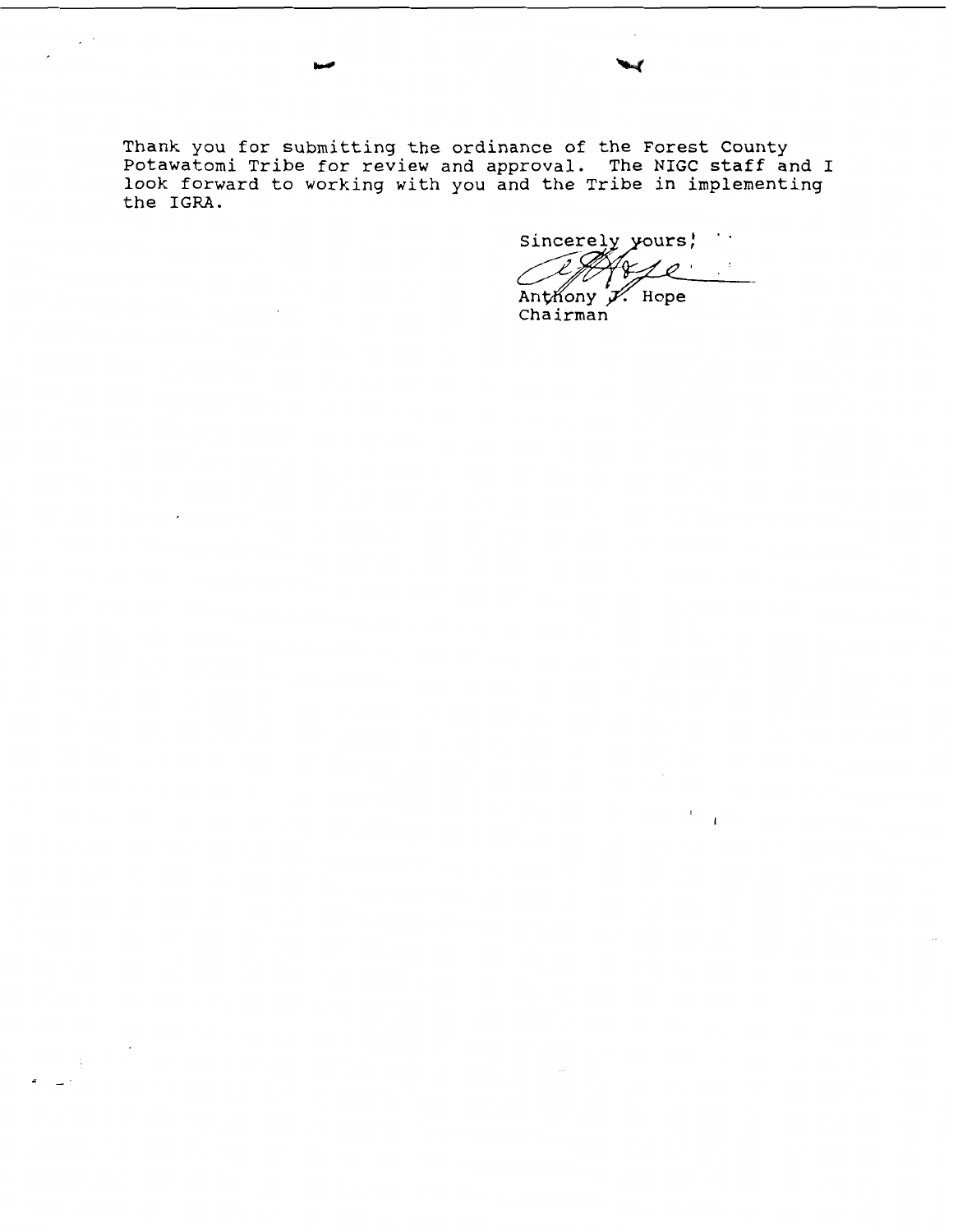**Thank you for submitting the ordinance of the Forest County Potawatomi Tribe for review and approval. The NIGC staff and I look forward to working with you and the Tribe in implementing the IGRA.** 

 $\sim$ 

 $\sim$   $\sim$ 

Sincerely yours,  $\ddot{\phantom{0}}$  $\mathcal{O}$ 

 $\overline{1}$ 

Anthony X. Hope<br>Chairman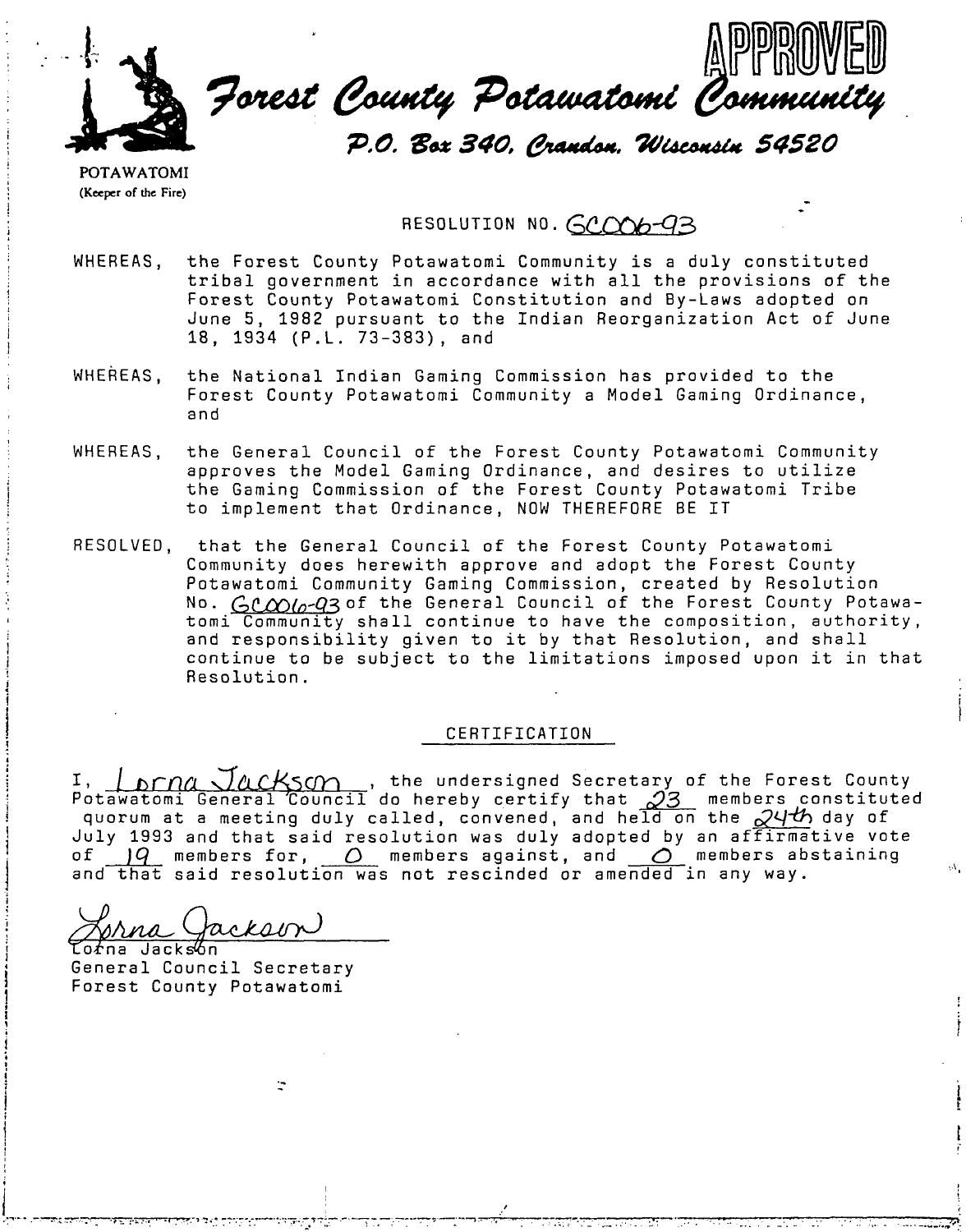

**POTAWATOMI (Keeper of the Fire)** 

RESOLUTION NO. *GCCM6-93* 

- WHEREAS, the Forest County Potawatomi Community is a duly constituted tribal government in accordance with all the provisions of the Forest County Potawatomi Constitution and By-Laws adopted on June 5, 1982 pursuant to the Indian Reorganization Act of June 18, 1934 (P.L. 73-383), and
- WHEREAS, the National Indian Gaming Commission has provided to the Forest County Potawatomi Community a Model Gaming Ordinance, and
- WHEREAS, the General Council of the Forest County Potawatomi Community approves the Model Gaming Ordinance, and desires to utilize the Gaming Commission of the Forest County Potawatomi Tribe to implement that Ordinance, NOW THEREFORE BE IT
- RESOLVED, that the General Council of the Forest County Potawatomi Community does herewith approve and adopt the Forest County Potawatomi Community Gaming Commission, created by Resolution<br>No. <u>GC*OOlo-Q*3</u>of the General Council of the Forest County Potawatomi Community shall continue to have the composition, authority, and responsibility given to it by that Resolution, and shall continue to be subject to the limitations imposed upon it in that Resolution.

# CERTIFICATION

I

CERTIFICATION<br>I, **prance Jackson**, the undersigned Secretary of the Forest County<br>Potawatomi General Council do hereby certify that 23\_ members constituted quorum at a meeting duly called, convened, and held on the **dq-th** day of July 1993 and that said resolution was duly adopted by an affirmative vote of  $\overline{q}$  members for,  $\overline{Q}$  members against, and  $\overline{Q}$  members abstaining and that said resolution was not rescinded or amended in any way.

ckaon orna Jacksón

General Council Secretary Forest County Potawatomi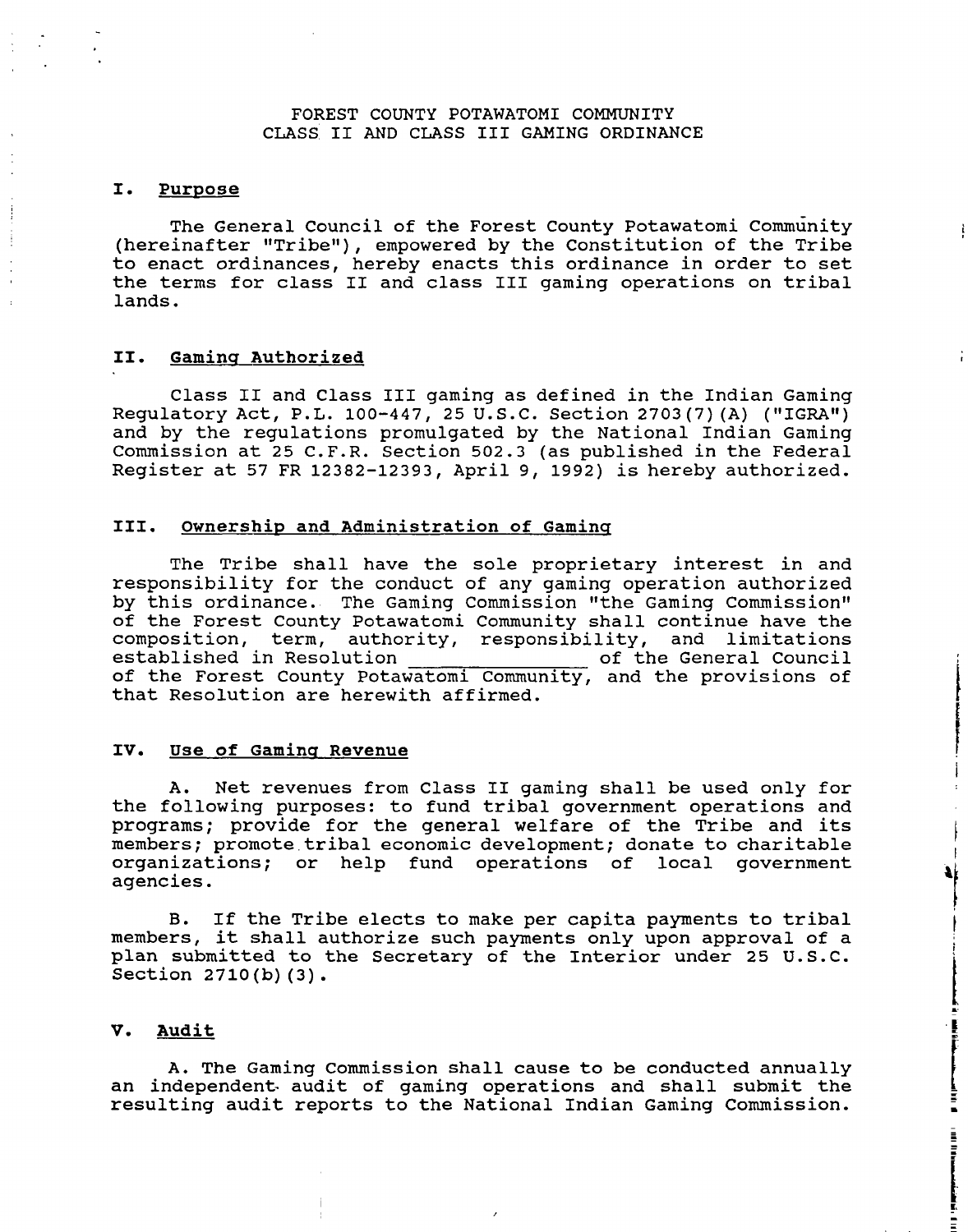# FOREST COUNTY POTAWATOMI COMMUNITY CLASS I1 AND CLASS I11 GAMING ORDINANCE

#### I. Purpose

The General Council of the Forest County Potawatomi community (hereinafter "Tribe"), empowered by the Constitution of the Tribe to enact ordinances, hereby enacts this ordinance in order to set the terms for class I1 and class I11 gaming operations on tribal lands.

# **11. Gaminq Authorized**

Class I1 and Class I11 gaming as defined in the Indian Gaming Requlatory Act, P.L. 100-447, 25 U.S.C. Section 2703(7)(A) ("IGRA") and by the regulations promulgated by the National Indian Gaming Commission at 25 C.F.R. Section 502.3 (as published in the Federal Register at 57 FR 12382-12393, April 9, 1992) is hereby authorized.

## **111. Ownershiv and Administration of Gaminq**

The Tribe shall have the sole proprietary interest in and responsibility for the conduct of any gaming operation authorized by this ordinance. The Gaming Commission "the Gaming Commission" of the Forest County Potawatomi Community shall continue have the composition, term, authority, responsibility, and limitations of the General Council of the Forest County Potawatomi Community, and the provisions of<br>that Resolution are herewith affirmed.

## **IV. Use of Gaminq Revenue**

A. Net revenues from Class I1 gaming shall be used only for the following purposes: to fund tribal government operations and programs; provide for the general welfare of the Tribe and its members; promote tribal economic development; donate to charitable organizations; or help fund operations of local government agencies.

 $\mathbf{I}$ 4f

**The Community of Science Association** 

**El Michael Andrew State** 

**B.** If the Tribe elects to make per capita payments to tribal members, it shall authorize such payments only upon approval of a plan submitted to the Secretary of the Interior under 25 U.S.C. Section 2710(b) (3).

#### **V. Audit**

A. The Gaming Commission shall cause to be conducted annually an independent- audit of gaming operations and shall submit the resulting audit reports to the National Indian Gaming Commission.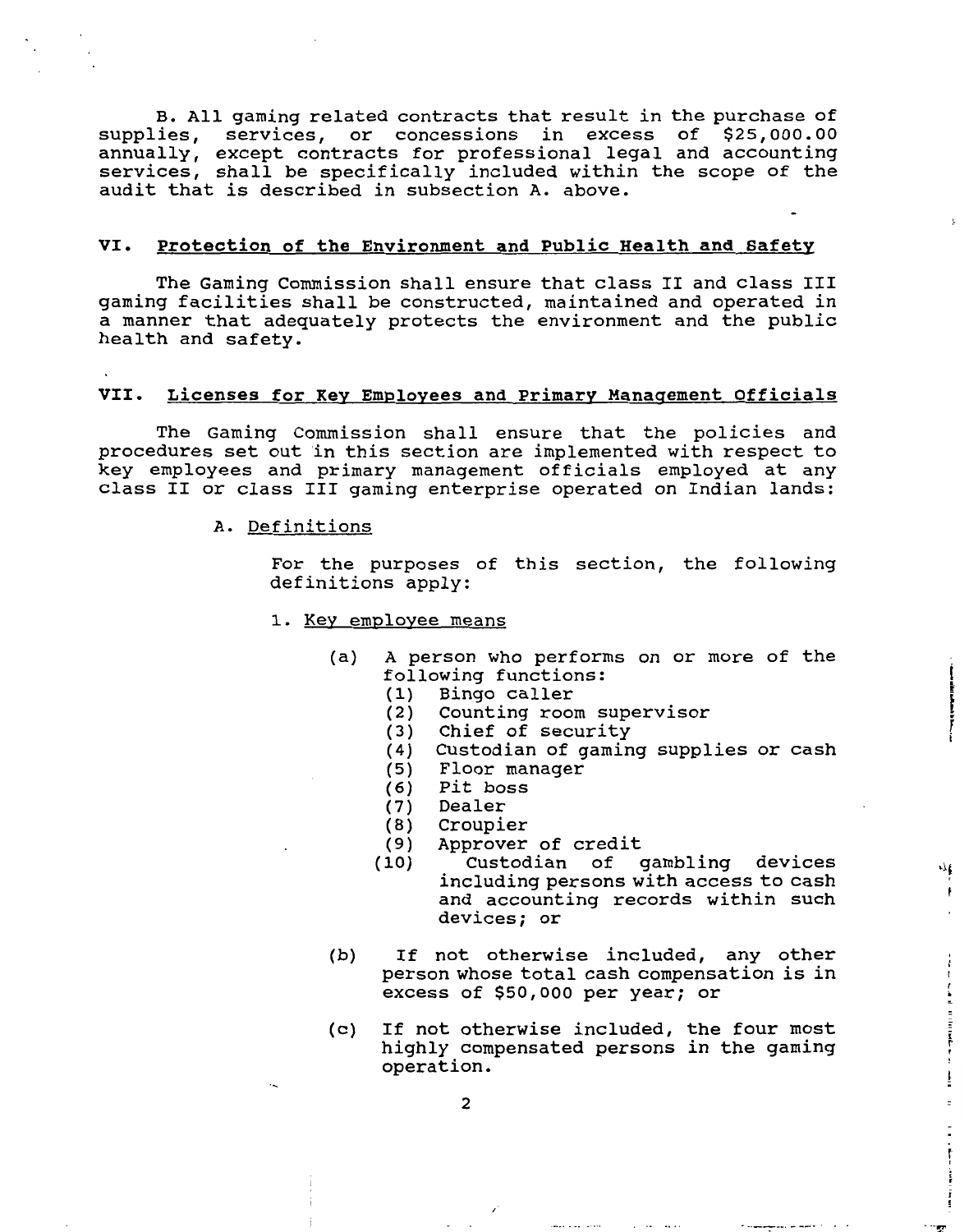B. All gaming related contracts that result in the purchase of supplies, services, or concessions in excess of \$25,000.00 annually, except contracts for professional legal and accounting services, shall be specifically included within the scope of the audit that is described in subsection **A.** above. -

## **VI. Protection of the Environment and Public Health and Safety**

The Gaming Commission shall ensure that class I1 and class I11 gaming facilities shall be constructed, maintained and operated in a manner that adequately protects the environment and the public health and safety.

## **VII. Licenses for KeV Employees and Primarv Manaqement Officials**

The Gaming Commission shall ensure that the policies and procedures set out in this section are implemented with respect to key employees and primary management officials employed at any class I1 or class I11 gaming enterprise operated on Indian lands:

#### **A.** Definitions

For the purposes of this section, the following definitions apply:

- 1. Kev emplovee means
	- (a) A person who performs on or more of the following functions:
		- (1) Bingo caller
		- (2) Counting room supervisor
		- (3) Chief of security
		- (4) Custodian of gaming supplies or cash
		- **(5)** Floor manager
		- (6) Pit boss
		- **(7)** Dealer
		- (8) Croupier
		- (9) Approver of credit
		- (10) Custodian of gambling devices including persons with access to cash and accounting records within such devices; or

 $\eta_{\rm t}$  $\mathfrak{f}$ 

- (b) If not otherwise included, any other person whose total cash compensation is in excess of \$50,000 per year; or
- (c) If not otherwise included, the four most highly compensated persons in the gaming operation.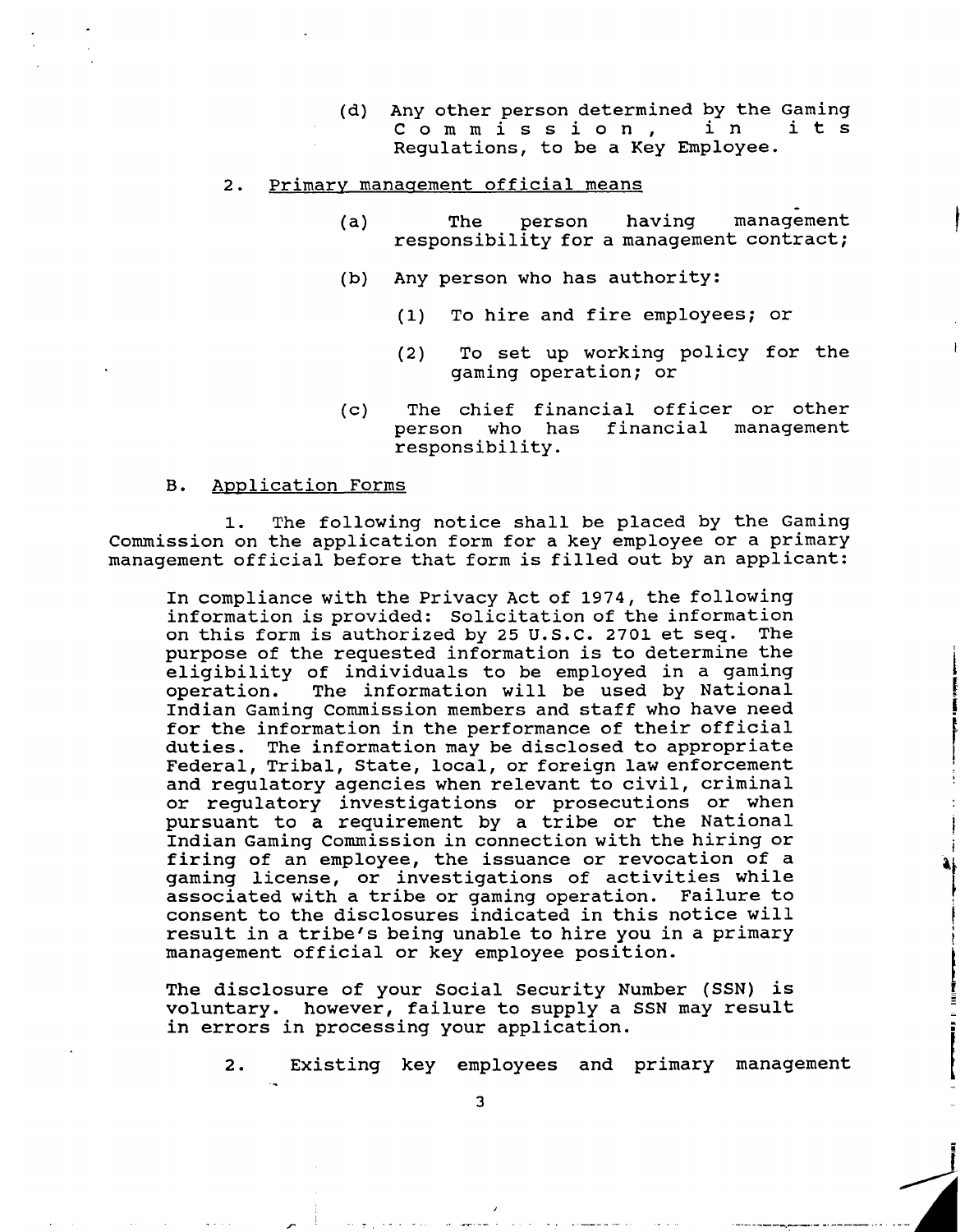(d) Any other person determined by the Gaming<br>  $C \circ m \circ i \circ n$ , in its Commission, Regulations, to be a Key Employee.

## 2. Primary management official means

- (a) The person having management responsibility for a management contract;
- (b) Any person who has authority:
	- (1) To hire and fire employees; or
	- (2) To set up working policy for the gaming operation; or
- (c) The chief financial officer or other person who has financial management responsibility.

#### **B.** ADDlication Forms

.-

1. The following notice shall be placed by the Gaming Commission on the application form for a key employee or a primary management official before that form is filled out by an applicant:

In compliance with the Privacy Act of 1974, the following information is provided: Solicitation of the information on this form is authorized by 25 U.S.C. 2701 et seq. The purpose of the requested information is to determine the eligibility of individuals to be employed in a gaming operation. The information will be used by National Indian Gaming Commission members and staff who have need for the information in the performance of their official duties. The information may be disclosed to appropriate Federal, Tribal, State, local, or foreign law enforcement and regulatory agencies when relevant to civil, criminal or regulatory investigations or prosecutions or when pursuant to a requirement by a tribe or the National Indian Gaming Commission in connection with the hiring or firing of an employee, the issuance or revocation of a gaming license, or investigations of activities while associated with a tribe or gaming operation. Failure to consent to the disclosures indicated in this notice will result in a tribe's being unable to hire you in a primary management official or key employee position.

The disclosure of your Social Security Number (SSN) is voluntary. however, failure to supply a SSN may result in errors in processing your application.

2. Existing key employees and primary management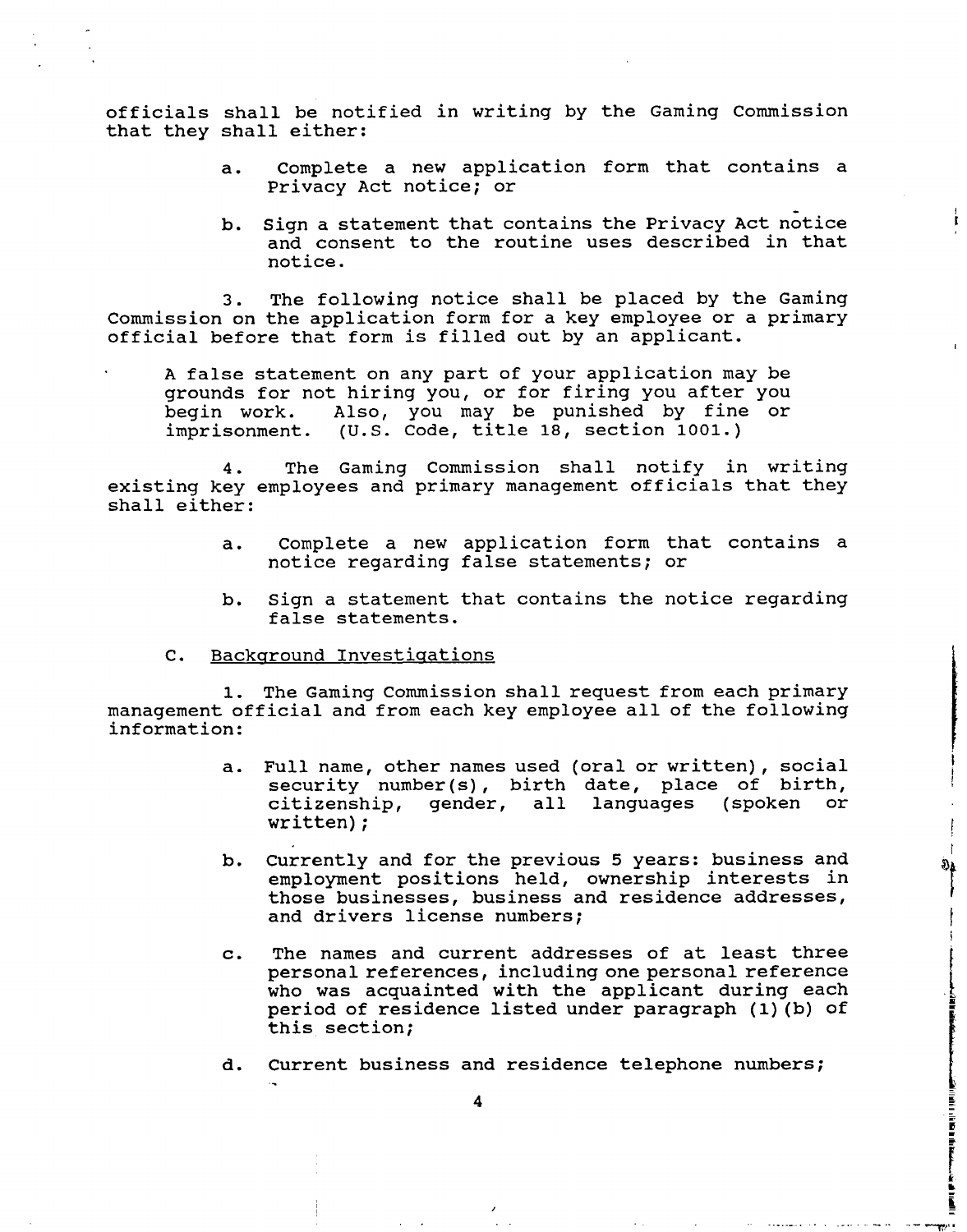officials shall be notified in writing by the Gaming Commission that they shall either:

- a. Complete a new application form that contains a Privacy Act notice; or
- b. Sign a statement that contains the Privacy Act notice and consent to the routine uses described in that notice.

3. The following notice shall be placed by the Gaming Commission on the application form for a key employee or a primary official before that form is filled out by an applicant.

A false statement on any part of your application may be grounds for not hiring you, or for firing you after you begin work. Also, you may be punished by fine or imprisonment. (U.S. Code, title 18, section 1001.)

4. The Gaming Commission shall notify in writing existing key employees and primary management officials that they shall either:

- a. Complete a new application form that contains a notice regarding false statements; or
- b. Sign a statement that contains the notice regarding false statements.
- C. Backaround Investiqations

1. The Gaming Commission shall request from each primary management official and from each key employee all of the following information:

- a. Full name, other names used (oral or written), social security number(s), birth date, place of birth, citizenship, gender, all languages<br>written); citizenship,
- b. Currently and for the previous 5 years: business and employment positions held, ownership interests in those businesses, business and residence addresses, and drivers license numbers;

 $\mathbf{r}$ Ò4.

- c. The names and current addresses of at least three personal references, including one personal reference who was acquainted with the applicant during each period of residence listed under paragraph (l)(b) of this section;
- d. Current business and residence telephone numbers;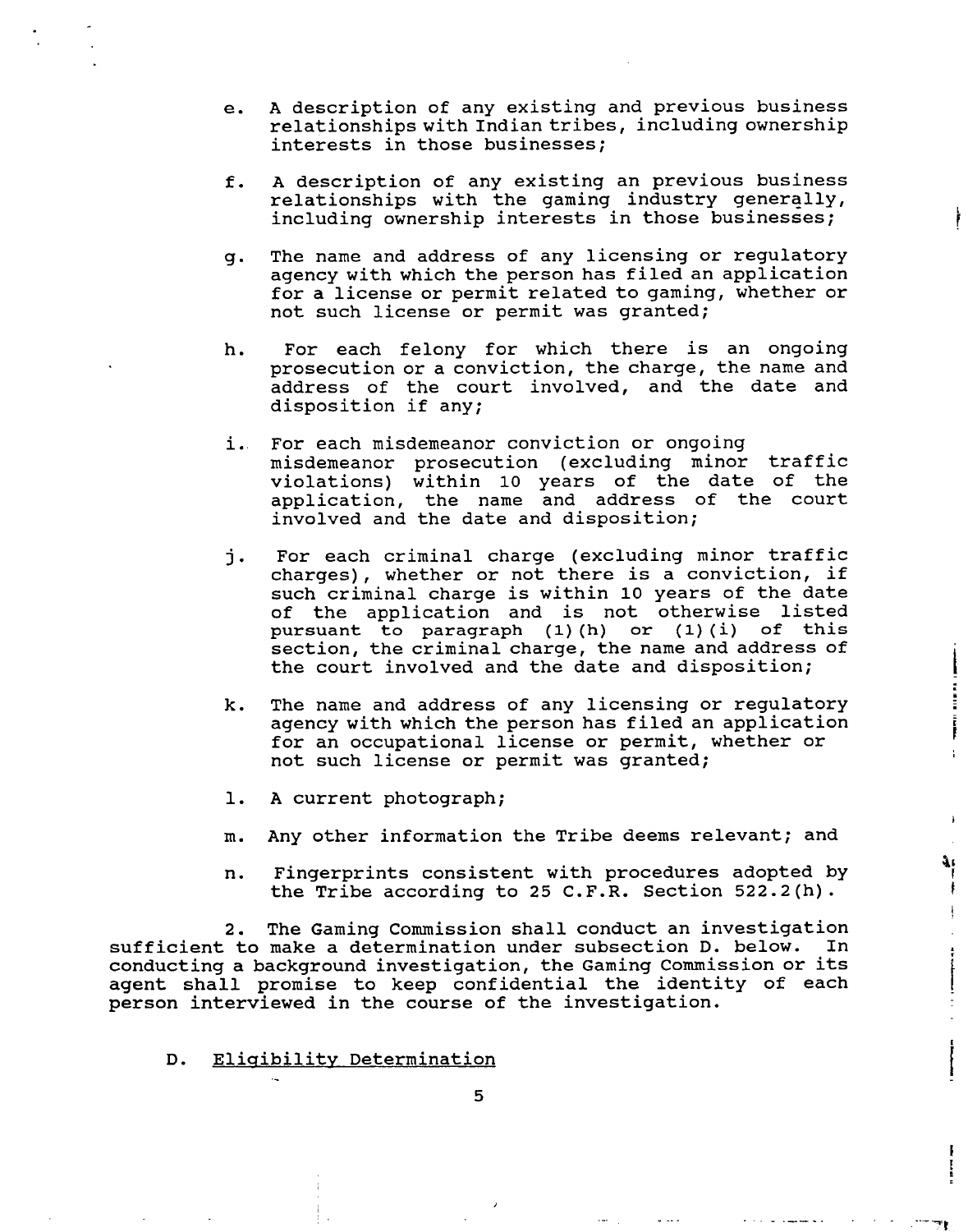- e. **A** description of any existing and previous business relationships with Indiantribes, including ownership interests in those businesses;
- f. A description of any existing an previous business relationships with the gaming industry generally, including ownership interests in those businesses;
- g. The name and address of any licensing or regulatory agency with which the person has filed an application for a license or permit related to gaming, whether or not such license or permit was granted;
- h. For each felony for which there is an ongoing prosecution or a conviction, the charge, the name and address of the court involved, and the date and disposition if any;
- i.. For each misdemeanor conviction or ongoing misdemeanor prosecution (excluding minor traffic violations) within 10 years of the date of the application, the name and address of the court involved and the date and disposition;
- **j.** For each criminal charge (excluding minor traffic charges) , whether or not there is a conviction, if such criminal charge is within 10 years of the date of the application and is not otherwise listed **pursuant to paragraph (1) (h) or (1) (i) of this**  section, the criminal charge, the name and address of the court involved and the date and disposition;
- k. The name and address of any licensing or regulatory agency with which the person has filed an application for an occupational license or permit, whether or not such license or permit was granted;

E<br>F Ť.

 $\mathbf{1}$ 

 $\frac{1}{2}$ 

F

- 1. **A** current photograph;
- m. Any other information the Tribe deems relevant; and
- n. Fingerprints consistent with procedures adopted by the Tribe according to 25 C.F.R. Section 522.2(h).

**2.** The Gaming Commission shall conduct an investigation sufficient to make a determination under subsection D. below. In conducting a background investigation, the Gaming Commission or its agent shall promise to keep confidential the identity of each person interviewed in the course of the investigation.

D. Eligibility Determination

**5**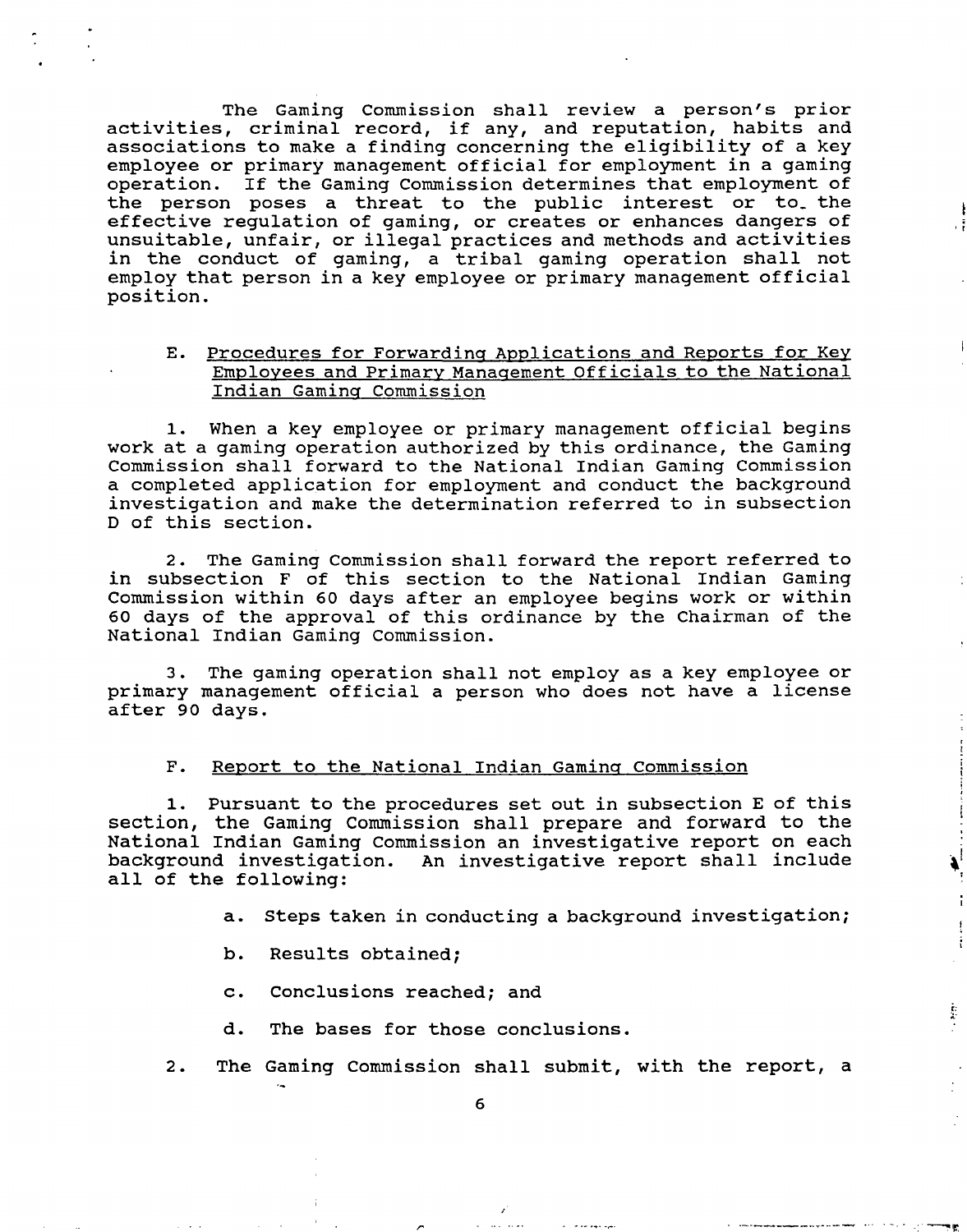The Gaming Commission shall review a person's prior activities, criminal record, if any, and reputation, habits and associations to make a finding concerning the eligibility of a key employee or primary management official for employment in a gaming operation. If the Gaming Commission determines that employment of the person poses a threat to the public interest or to the effective regulation of gaming, or creates or enhances dangers of unsuitable, unfair, or illegal practices and methods and activities in the conduct of gaming, a tribal gaming operation shall not employ that person in a key employee or primary management official position.

# E. Procedures for Forwarding Applications and Reports for Key Employees and Primary Management Officials to the National Indian Gamina Commission

**1.** When a key employee or primary management official begins work at a gaming operation authorized by this ordinance, the Gaming Commission shall forward to the National Indian Gaming Commission a completed application for employment and conduct the background investigation and make the determination referred to in subsection D of this section.

**2.** The Gaming Commission shall forward the report referred to in subsection F of this section to the National Indian Gaming Commission within 60 days after an employee begins work or within 60 days of the approval of this ordinance by the Chairman of the National Indian Gaming Commission.

**3.** The gaming operation shall not employ as a key employee or primary management official a person who does not have a license after 90 days.

# F. Report to the National Indian Gaming Commission

**1.** Pursuant to the procedures set out in subsection E of this section, the Gaming Commission shall prepare and forward to the National Indian Gaming Commission an investigative report on each background investigation. An investigative report shall include all of the following:

**a.** Steps taken in conducting a background investigation;

 $\mathbf{A}$ 

 $\ddot{\mathrm{r}}$ 

Ť

 $\frac{1}{\lambda}$ 

Ì,

- b. Results obtained;
- c. Conclusions reached; and
- d. The bases for those conclusions.
- 2. The Gaming Commission shall submit, with the report, a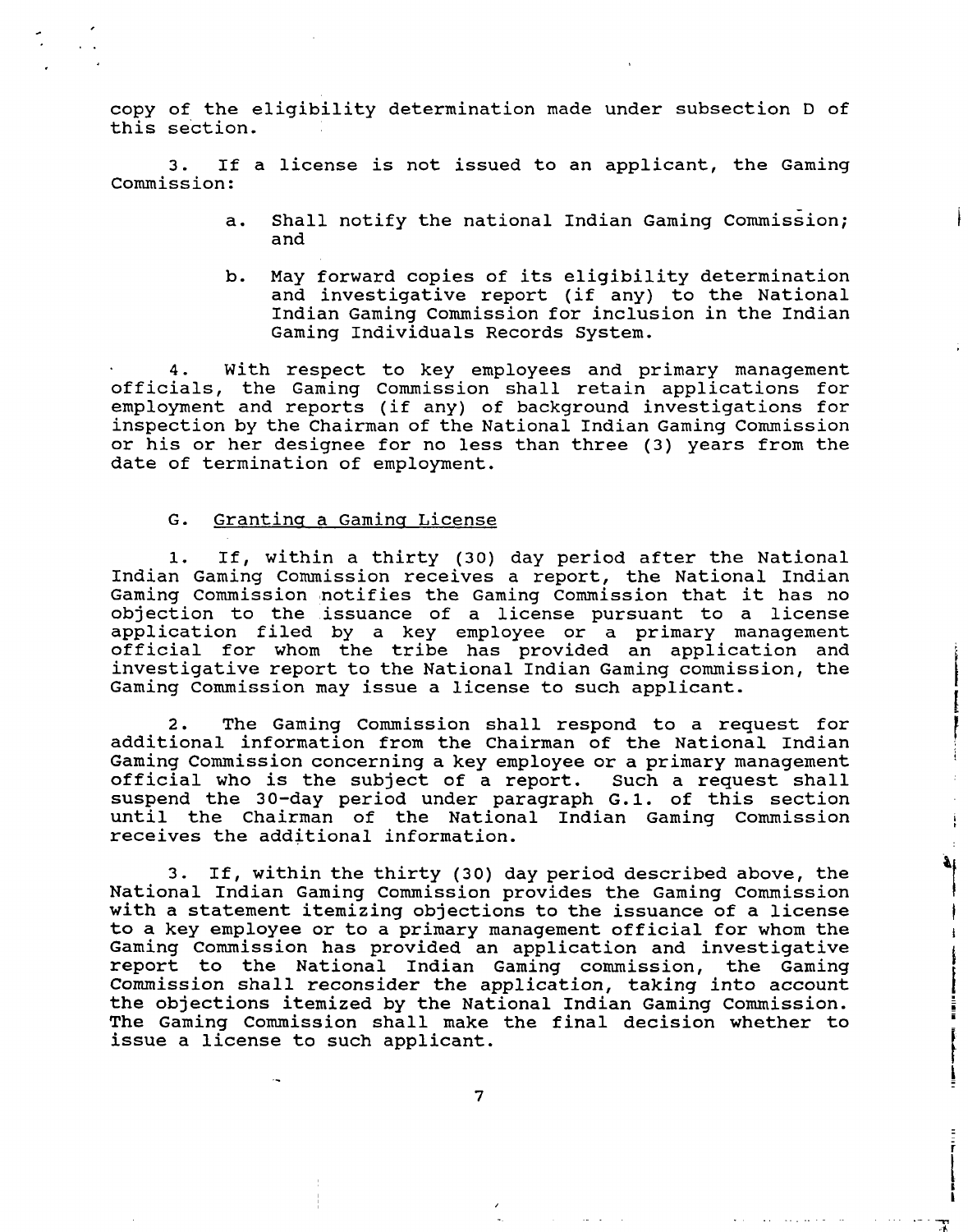copy of the eligibility determination made under subsection D of this section.

3. If a license is not issued to an applicant, the Gaming Commission:

- a. Shall notify the national Indian Gaming Commission; and
- b. May forward copies of its eligibility determination and investigative report (if any) to the National Indian Gaming Commission for inclusion in the Indian Gaming Individuals Records System.

4. With respect to key employees and primary management officials, the Gaming Commission shall retain applications for employment and reports (if any) of background investigations for inspection by the Chairman of the National Indian Gaming Commission or his or her designee for no less than three (3) years from the date of termination of employment.

## G. Granting a Gaming License

1. If, within a thirty (30) day period after the National Indian Gaming Commission receives a report, the National Indian Gaming Commission notifies the Gaming Commission that it has no objection to the issuance of a license pursuant to a license application filed by a key employee or a primary management official for whom the tribe has provided an application and investigative report to the National Indian Gaming commission, the Gaming Commission may issue a license to such applicant.

2. The Gaming Commission shall respond to a request for additional information from the Chairman of the National Indian Gaming Commission concerning a key employee or a primary management official who is the subject of a report. Such a request shall suspend the 30-day period under paragraph G.1. of this section until the Chairman of the National Indian Gaming Commission receives the additional information.

٦£

 $\mathbf{I}$  $\mathbf{F}$ 

 $\frac{1}{r}$ 

3. If, within the thirty (30) day period described above, the National Indian Gaming Commission provides the Gaming Commission with a statement itemizing objections to the issuance of a license to a key employee or to a primary management official for whom the Gaming Commission has provided an application and investigative report to the National Indian Gaming commission, the Gaming Commission shall reconsider the application, taking into account the objections itemized by the National Indian Gaming Commission. The Gaming Commission shall make the final decision whether to issue a license to such applicant.